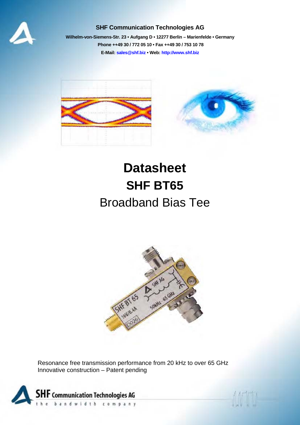

#### **SHF Communication Technologies AG**

**Wilhelm-von-Siemens-Str. 23 • Aufgang D • 12277 Berlin – Marienfelde • Germany Phone ++49 30 / 772 05 10 • Fax ++49 30 / 753 10 78 E-Mail: sales@shf.biz • Web: http://www.shf.biz**



# **Datasheet SHF BT65**  Broadband Bias Tee



Resonance free transmission performance from 20 kHz to over 65 GHz Innovative construction – Patent pending

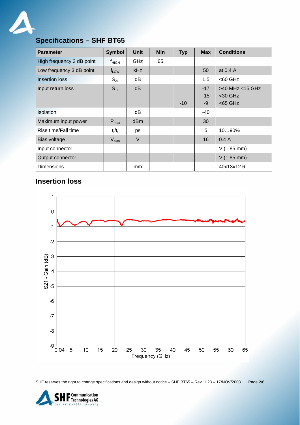

# **Specifications – SHF BT65**

| <b>Parameter</b>          | <b>Symbol</b>     | <b>Unit</b>     | <b>Min</b> | <b>Typ</b> | <b>Max</b> | <b>Conditions</b>    |
|---------------------------|-------------------|-----------------|------------|------------|------------|----------------------|
| High frequency 3 dB point | $f_{HIGH}$        | GHz             | 65         |            |            |                      |
| Low frequency 3 dB point  | $f_{LOW}$         | kHz             |            |            | 50         | at 0.4 A             |
| <b>Insertion loss</b>     | $S_{21}$          | dB              |            |            | 1.5        | $<$ 60 GHz           |
| Input return loss         | $S_{11}$          | dB              |            |            | $-17$      | >40 MHz <15 GHz      |
|                           |                   |                 |            |            | $-15$      | <30 GHz              |
|                           |                   |                 |            | $-10$      | -9         | $<$ 65 GHz           |
| <b>Isolation</b>          |                   | dB              |            |            | -40        |                      |
| Maximum input power       | $P_{max}$         | d <sub>Bm</sub> |            |            | 30         |                      |
| Rise time/Fall time       | $t_r/t_f$         | ps              |            |            | 5          | 1090%                |
| Bias voltage              | V <sub>bias</sub> | V               |            |            | 16         | 0.4A                 |
| Input connector           |                   |                 |            |            |            | $V(1.85 \text{ mm})$ |
| Output connector          |                   |                 |            |            |            | $V(1.85$ mm)         |
| <b>Dimensions</b>         |                   | mm              |            |            |            | 40x13x12.6           |

## **Insertion loss**



SHF reserves the right to change specifications and design without notice – SHF BT65 – Rev. 1.23 – 17/NOV/2003 Page 2/6

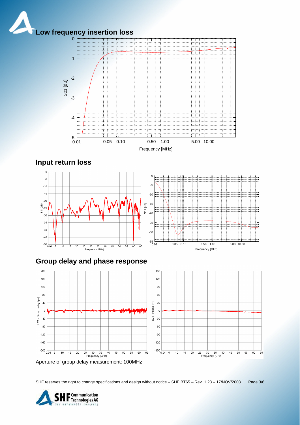



**Input return loss**



## **Group delay and phase response**



Aperture of group delay measurement: 100MHz

SHF reserves the right to change specifications and design without notice – SHF BT65 – Rev. 1.23 – 17/NOV/2003 Page 3/6

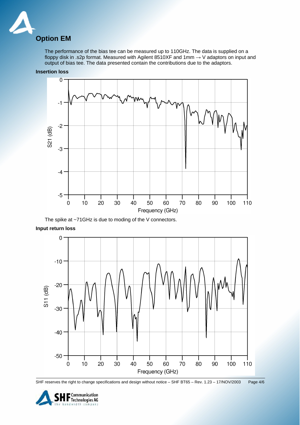

The performance of the bias tee can be measured up to 110GHz. The data is supplied on a floppy disk in .s2p format. Measured with Agilent 8510XF and 1mm  $\rightarrow$  V adaptors on input and output of bias tee. The data presented contain the contributions due to the adaptors.



**Insertion loss** 

The spike at ~71GHz is due to moding of the V connectors.

**Input return loss** 



SHF reserves the right to change specifications and design without notice – SHF BT65 – Rev. 1.23 – 17/NOV/2003 Page 4/6

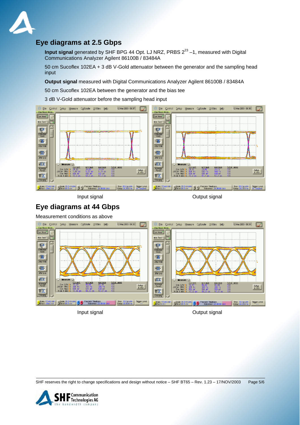

### **Eye diagrams at 2.5 Gbps**

**Input signal** generated by SHF BPG 44 Opt. LJ NRZ, PRBS 2<sup>23</sup> -1, measured with Digital Communications Analyzer Agilent 86100B / 83484A

50 cm Sucoflex 102EA + 3 dB V-Gold attenuator between the generator and the sampling head input

**Output signal** measured with Digital Communications Analyzer Agilent 86100B / 83484A

50 cm Sucoflex 102EA between the generator and the bias tee

3 dB V-Gold attenuator before the sampling head input



Input signal and the contract of the Contract of Cutput signal and Output signal

### **Eye diagrams at 44 Gbps**

Measurement conditions as above



SHF reserves the right to change specifications and design without notice – SHF BT65 – Rev. 1.23 – 17/NOV/2003 Page 5/6